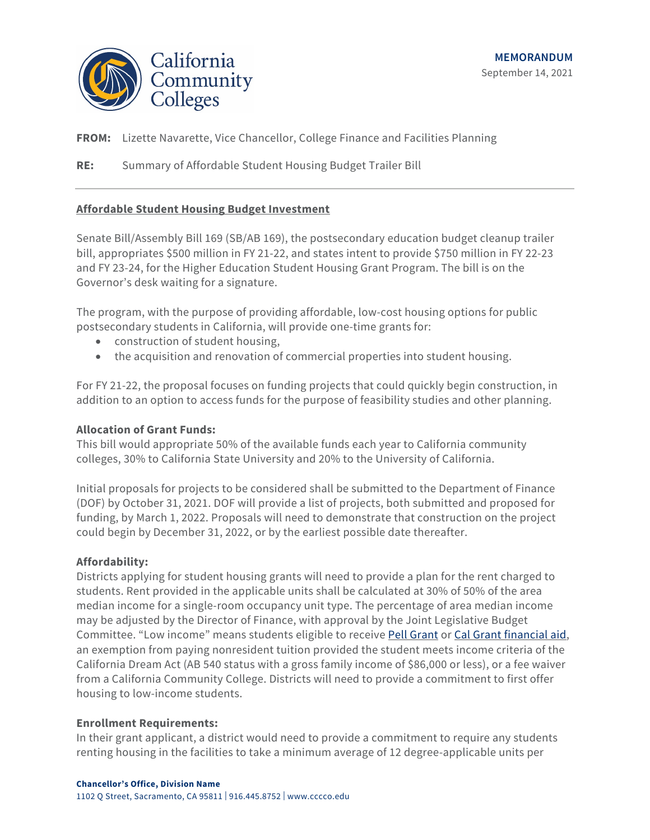

**FROM:** Lizette Navarette, Vice Chancellor, College Finance and Facilities Planning

**RE:** Summary of Affordable Student Housing Budget Trailer Bill

# **Affordable Student Housing Budget Investment**

Senate Bill/Assembly Bill 169 (SB/AB 169), the postsecondary education budget cleanup trailer bill, appropriates \$500 million in FY 21-22, and states intent to provide \$750 million in FY 22-23 and FY 23-24, for the Higher Education Student Housing Grant Program. The bill is on the Governor's desk waiting for a signature.

The program, with the purpose of providing affordable, low-cost housing options for public postsecondary students in California, will provide one-time grants for:

- construction of student housing,
- the acquisition and renovation of commercial properties into student housing.

For FY 21-22, the proposal focuses on funding projects that could quickly begin construction, in addition to an option to access funds for the purpose of feasibility studies and other planning.

## **Allocation of Grant Funds:**

This bill would appropriate 50% of the available funds each year to California community colleges, 30% to California State University and 20% to the University of California.

Initial proposals for projects to be considered shall be submitted to the Department of Finance (DOF) by October 31, 2021. DOF will provide a list of projects, both submitted and proposed for funding, by March 1, 2022. Proposals will need to demonstrate that construction on the project could begin by December 31, 2022, or by the earliest possible date thereafter.

## **Affordability:**

Districts applying for student housing grants will need to provide a plan for the rent charged to students. Rent provided in the applicable units shall be calculated at 30% of 50% of the area median income for a single-room occupancy unit type. The percentage of area median income may be adjusted by the Director of Finance, with approval by the Joint Legislative Budget Committee. "Low income" means students eligible to receive Pell Grant or Cal Grant financial aid, an exemption from paying nonresident tuition provided the student meets income criteria of the California Dream Act (AB 540 status with a gross family income of \$86,000 or less), or a fee waiver from a California Community College. Districts will need to provide a commitment to first offer housing to low-income students.

#### **Enrollment Requirements:**

In their grant applicant, a district would need to provide a commitment to require any students renting housing in the facilities to take a minimum average of 12 degree-applicable units per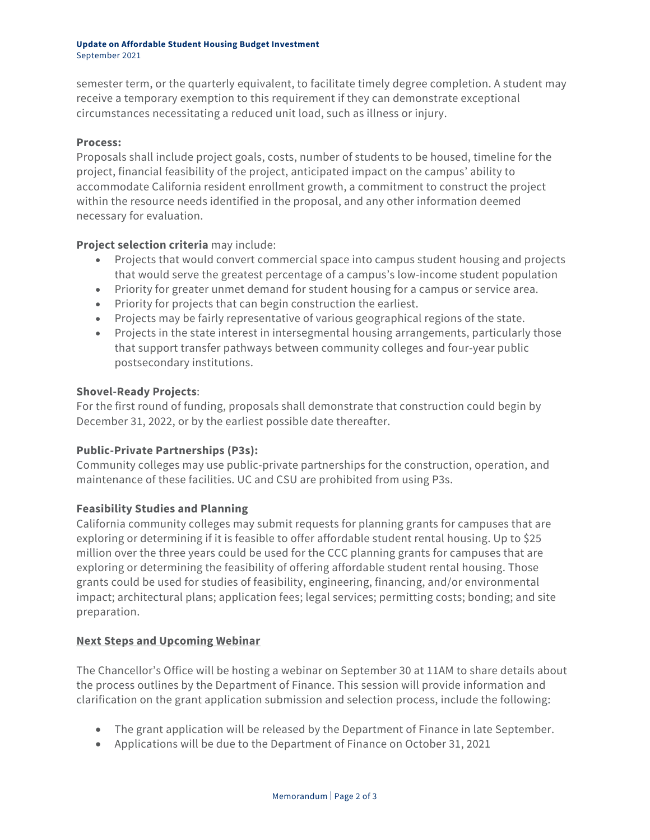#### **Update on Affordable Student Housing Budget Investment** September 2021

semester term, or the quarterly equivalent, to facilitate timely degree completion. A student may receive a temporary exemption to this requirement if they can demonstrate exceptional circumstances necessitating a reduced unit load, such as illness or injury.

#### **Process:**

Proposals shall include project goals, costs, number of students to be housed, timeline for the project, financial feasibility of the project, anticipated impact on the campus' ability to accommodate California resident enrollment growth, a commitment to construct the project within the resource needs identified in the proposal, and any other information deemed necessary for evaluation.

## **Project selection criteria** may include:

- Projects that would convert commercial space into campus student housing and projects that would serve the greatest percentage of a campus's low-income student population
- Priority for greater unmet demand for student housing for a campus or service area.
- Priority for projects that can begin construction the earliest.
- Projects may be fairly representative of various geographical regions of the state.
- Projects in the state interest in intersegmental housing arrangements, particularly those that support transfer pathways between community colleges and four-year public postsecondary institutions.

#### **Shovel-Ready Projects**:

For the first round of funding, proposals shall demonstrate that construction could begin by December 31, 2022, or by the earliest possible date thereafter.

## **Public-Private Partnerships (P3s):**

Community colleges may use public-private partnerships for the construction, operation, and maintenance of these facilities. UC and CSU are prohibited from using P3s.

## **Feasibility Studies and Planning**

California community colleges may submit requests for planning grants for campuses that are exploring or determining if it is feasible to offer affordable student rental housing. Up to \$25 million over the three years could be used for the CCC planning grants for campuses that are exploring or determining the feasibility of offering affordable student rental housing. Those grants could be used for studies of feasibility, engineering, financing, and/or environmental impact; architectural plans; application fees; legal services; permitting costs; bonding; and site preparation.

## **Next Steps and Upcoming Webinar**

The Chancellor's Office will be hosting a webinar on September 30 at 11AM to share details about the process outlines by the Department of Finance. This session will provide information and clarification on the grant application submission and selection process, include the following:

- The grant application will be released by the Department of Finance in late September.
- Applications will be due to the Department of Finance on October 31, 2021